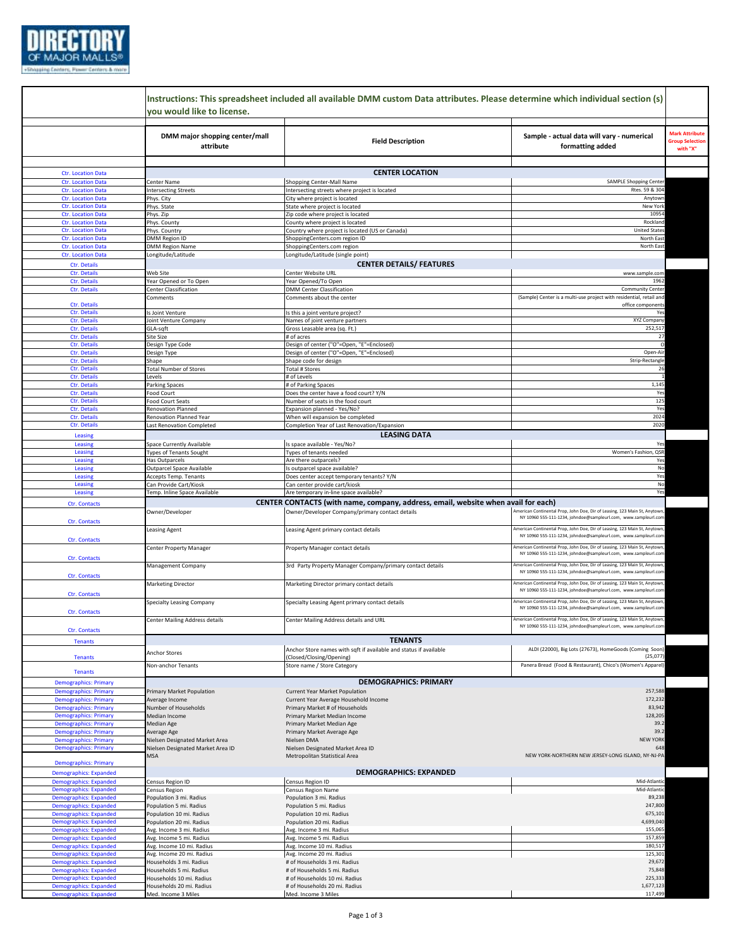

|                                                                | Instructions: This spreadsheet included all available DMM custom Data attributes. Please determine which individual section (s)<br>you would like to license. |                                                                                   |                                                                                                                                              |                                                             |  |
|----------------------------------------------------------------|---------------------------------------------------------------------------------------------------------------------------------------------------------------|-----------------------------------------------------------------------------------|----------------------------------------------------------------------------------------------------------------------------------------------|-------------------------------------------------------------|--|
|                                                                | DMM major shopping center/mall<br>attribute                                                                                                                   | <b>Field Description</b>                                                          | Sample - actual data will vary - numerical<br>formatting added                                                                               | <b>Mark Attribute</b><br><b>Group Selection</b><br>with "X" |  |
| <b>Ctr. Location Data</b>                                      |                                                                                                                                                               | <b>CENTER LOCATION</b>                                                            |                                                                                                                                              |                                                             |  |
| <b>Ctr. Location Data</b>                                      | Center Name                                                                                                                                                   | Shopping Center-Mall Name                                                         | <b>SAMPLE Shopping Center</b>                                                                                                                |                                                             |  |
| <b>Ctr. Location Data</b>                                      | <b>Intersecting Streets</b>                                                                                                                                   | Intersecting streets where project is located                                     | Rtes. 59 & 304                                                                                                                               |                                                             |  |
| <b>Ctr. Location Data</b>                                      | Phys. City                                                                                                                                                    | City where project is located                                                     | Anytown                                                                                                                                      |                                                             |  |
| <b>Ctr. Location Data</b>                                      | Phys. State                                                                                                                                                   | State where project is located                                                    | New York                                                                                                                                     |                                                             |  |
| <b>Ctr. Location Data</b><br><b>Ctr. Location Data</b>         | Phys. Zip                                                                                                                                                     | Zip code where project is located<br>County where project is located              | 10954<br>Rockland                                                                                                                            |                                                             |  |
| <b>Ctr. Location Data</b>                                      | Phys. County<br>Phys. Country                                                                                                                                 | Country where project is located (US or Canada)                                   | <b>United States</b>                                                                                                                         |                                                             |  |
| <b>Ctr. Location Data</b>                                      | DMM Region ID                                                                                                                                                 | ShoppingCenters.com region ID                                                     | North East                                                                                                                                   |                                                             |  |
| <b>Ctr. Location Data</b>                                      | <b>DMM Region Name</b>                                                                                                                                        | ShoppingCenters.com region                                                        | North East                                                                                                                                   |                                                             |  |
| <b>Ctr. Location Data</b>                                      | Longitude/Latitude                                                                                                                                            | Longitude/Latitude (single point)                                                 |                                                                                                                                              |                                                             |  |
| Ctr. Details                                                   |                                                                                                                                                               | <b>CENTER DETAILS/ FEATURES</b>                                                   |                                                                                                                                              |                                                             |  |
| Ctr. Details                                                   | Web Site                                                                                                                                                      | Center Website URL                                                                | www.sample.com                                                                                                                               |                                                             |  |
| Ctr. Details<br>Ctr. Details                                   | Year Opened or To Open<br>Center Classification                                                                                                               | Year Opened/To Open<br><b>DMM Center Classification</b>                           | 1962<br><b>Community Center</b>                                                                                                              |                                                             |  |
|                                                                | Comments                                                                                                                                                      | Comments about the center                                                         | (Sample) Center is a multi-use project with residential, retail and                                                                          |                                                             |  |
| Ctr. Details                                                   |                                                                                                                                                               |                                                                                   | office components                                                                                                                            |                                                             |  |
| Ctr. Details                                                   | Is Joint Venture                                                                                                                                              | s this a joint venture project?                                                   | Yes                                                                                                                                          |                                                             |  |
| Ctr. Details                                                   | Joint Venture Company                                                                                                                                         | Names of joint venture partners                                                   | XYZ Company                                                                                                                                  |                                                             |  |
| Ctr. Details<br>Ctr. Details                                   | GLA-sqft<br>Site Size                                                                                                                                         | Gross Leasable area (sq. Ft.)<br># of acres                                       | 252,517<br>27                                                                                                                                |                                                             |  |
| Ctr. Details                                                   | Design Type Code                                                                                                                                              | Design of center ("O"=Open, "E"=Enclosed)                                         |                                                                                                                                              |                                                             |  |
| Ctr. Details                                                   | Design Type                                                                                                                                                   | Design of center ("O"=Open, "E"=Enclosed)                                         | Open-Air                                                                                                                                     |                                                             |  |
| Ctr. Details                                                   | Shape                                                                                                                                                         | Shape code for design                                                             | Strip-Rectangle                                                                                                                              |                                                             |  |
| Ctr. Details                                                   | <b>Total Number of Stores</b>                                                                                                                                 | <b>Total # Stores</b>                                                             | 26                                                                                                                                           |                                                             |  |
| Ctr. Details<br>Ctr. Details                                   | Levels<br><b>Parking Spaces</b>                                                                                                                               | # of Levels<br># of Parking Spaces                                                | 1,145                                                                                                                                        |                                                             |  |
| Ctr. Details                                                   | Food Court                                                                                                                                                    | Does the center have a food court? Y/N                                            | Yes                                                                                                                                          |                                                             |  |
| Ctr. Details                                                   | Food Court Seats                                                                                                                                              | Number of seats in the food court                                                 | 125                                                                                                                                          |                                                             |  |
| Ctr. Details                                                   | <b>Renovation Planned</b>                                                                                                                                     | Expansion planned - Yes/No?                                                       | Yes                                                                                                                                          |                                                             |  |
| Ctr. Details                                                   | Renovation Planned Year                                                                                                                                       | When will expansion be completed                                                  | 2024                                                                                                                                         |                                                             |  |
| Ctr. Details                                                   | Last Renovation Completed                                                                                                                                     | Completion Year of Last Renovation/Expansion                                      | 2020                                                                                                                                         |                                                             |  |
| Leasing                                                        |                                                                                                                                                               | <b>LEASING DATA</b>                                                               |                                                                                                                                              |                                                             |  |
| Leasing<br>Leasing                                             | Space Currently Available<br><b>Types of Tenants Sought</b>                                                                                                   | Is space available - Yes/No?<br>Types of tenants needed                           | Yes<br>Women's Fashion, QSR                                                                                                                  |                                                             |  |
| Leasing                                                        | Has Outparcels                                                                                                                                                | Are there outparcels?                                                             | Yes                                                                                                                                          |                                                             |  |
| Leasing                                                        | Outparcel Space Available                                                                                                                                     | s outparcel space available?                                                      | No                                                                                                                                           |                                                             |  |
| Leasing                                                        | Accepts Temp. Tenants                                                                                                                                         | Does center accept temporary tenants? Y/N                                         | Yes                                                                                                                                          |                                                             |  |
| Leasing                                                        | Can Provide Cart/Kiosk                                                                                                                                        | Can center provide cart/kiosk                                                     | No                                                                                                                                           |                                                             |  |
| Leasing                                                        | Temp. Inline Space Available                                                                                                                                  | Are temporary in-line space available?                                            | Yes                                                                                                                                          |                                                             |  |
| <b>Ctr. Contacts</b>                                           |                                                                                                                                                               | CENTER CONTACTS (with name, company, address, email, website when avail for each) |                                                                                                                                              |                                                             |  |
|                                                                | Owner/Developer                                                                                                                                               | Owner/Developer Company/primary contact details                                   | American Continental Prop, John Doe, Dir of Leasing, 123 Main St, Anytowr<br>NY 10960 555-111-1234, johndoe@sampleurl.com, www.sampleurl.con |                                                             |  |
| <b>Ctr. Contacts</b>                                           |                                                                                                                                                               |                                                                                   | American Continental Prop, John Doe, Dir of Leasing, 123 Main St, Anytowr                                                                    |                                                             |  |
|                                                                | Leasing Agent                                                                                                                                                 | Leasing Agent primary contact details                                             | NY 10960 555-111-1234, johndoe@sampleurl.com, www.sampleurl.cor                                                                              |                                                             |  |
| <b>Ctr. Contacts</b>                                           | Center Property Manager                                                                                                                                       | Property Manager contact details                                                  | American Continental Prop, John Doe, Dir of Leasing, 123 Main St, Anytowr                                                                    |                                                             |  |
| Ctr. Contacts                                                  |                                                                                                                                                               |                                                                                   | NY 10960 555-111-1234, johndoe@sampleurl.com, www.sampleurl.cor                                                                              |                                                             |  |
|                                                                | Management Company                                                                                                                                            | 3rd Party Property Manager Company/primary contact details                        | American Continental Prop, John Doe, Dir of Leasing, 123 Main St, Anytowr                                                                    |                                                             |  |
| <b>Ctr. Contacts</b>                                           |                                                                                                                                                               |                                                                                   | NY 10960 555-111-1234, johndoe@sampleurl.com, www.sampleurl.con                                                                              |                                                             |  |
|                                                                | <b>Marketing Director</b>                                                                                                                                     | Marketing Director primary contact details                                        | American Continental Prop, John Doe, Dir of Leasing, 123 Main St, Anytowr                                                                    |                                                             |  |
| <b>Ctr. Contacts</b>                                           |                                                                                                                                                               |                                                                                   | NY 10960 555-111-1234, johndoe@sampleurl.com, www.sampleurl.con                                                                              |                                                             |  |
|                                                                | Specialty Leasing Company                                                                                                                                     | Specialty Leasing Agent primary contact details                                   | American Continental Prop, John Doe, Dir of Leasing, 123 Main St, Anytowr<br>NY 10960 555-111-1234, johndoe@sampleurl.com, www.sampleurl.con |                                                             |  |
| Ctr. Contacts                                                  |                                                                                                                                                               |                                                                                   |                                                                                                                                              |                                                             |  |
|                                                                |                                                                                                                                                               | Center Mailing Address details and URL                                            |                                                                                                                                              |                                                             |  |
| <b>Ctr. Contacts</b>                                           | <b>Center Mailing Address details</b>                                                                                                                         |                                                                                   | American Continental Prop, John Doe, Dir of Leasing, 123 Main St, Anytowr                                                                    |                                                             |  |
|                                                                |                                                                                                                                                               |                                                                                   | NY 10960 555-111-1234, johndoe@sampleurl.com, www.sampleurl.co                                                                               |                                                             |  |
| <b>Tenants</b>                                                 |                                                                                                                                                               | <b>TENANTS</b>                                                                    |                                                                                                                                              |                                                             |  |
|                                                                | Anchor Stores                                                                                                                                                 | Anchor Store names with sqft if available and status if available                 | ALDI (22000), Big Lots (27673), HomeGoods (Coming Soon)                                                                                      |                                                             |  |
| <b>Tenants</b>                                                 |                                                                                                                                                               | (Closed/Closing/Opening)                                                          | (25,077)                                                                                                                                     |                                                             |  |
| <b>Tenants</b>                                                 | Non-anchor Tenants                                                                                                                                            | Store name / Store Category                                                       | Panera Bread (Food & Restaurant), Chico's (Women's Apparel)                                                                                  |                                                             |  |
| <b>Demographics: Primary</b>                                   |                                                                                                                                                               | <b>DEMOGRAPHICS: PRIMARY</b>                                                      |                                                                                                                                              |                                                             |  |
| <b>Demographics: Primary</b>                                   | Primary Market Population                                                                                                                                     | <b>Current Year Market Population</b>                                             | 257,588                                                                                                                                      |                                                             |  |
| <b>Demographics: Primary</b>                                   | Average Income                                                                                                                                                | Current Year Average Household Income                                             | 172,232                                                                                                                                      |                                                             |  |
| <b>Demographics: Primary</b>                                   | Number of Households                                                                                                                                          | Primary Market # of Households                                                    | 83,942                                                                                                                                       |                                                             |  |
| <b>Demographics: Primary</b>                                   | Median Income                                                                                                                                                 | Primary Market Median Income                                                      | 128,205                                                                                                                                      |                                                             |  |
| <b>Demographics: Primary</b>                                   | Median Age                                                                                                                                                    | Primary Market Median Age                                                         | 39.2<br>39.2                                                                                                                                 |                                                             |  |
| <b>Demographics: Primary</b><br><b>Demographics: Primary</b>   | Average Age<br>Nielsen Designated Market Area                                                                                                                 | Primary Market Average Age<br>Nielsen DMA                                         | <b>NEW YORK</b>                                                                                                                              |                                                             |  |
| <b>Demographics: Primary</b>                                   | Nielsen Designated Market Area ID                                                                                                                             | Nielsen Designated Market Area ID                                                 | 648                                                                                                                                          |                                                             |  |
|                                                                | <b>MSA</b>                                                                                                                                                    | Metropolitan Statistical Area                                                     | NEW YORK-NORTHERN NEW JERSEY-LONG ISLAND, NY-NJ-PA                                                                                           |                                                             |  |
| <b>Demographics: Primary</b>                                   |                                                                                                                                                               |                                                                                   |                                                                                                                                              |                                                             |  |
| <b>Demographics: Expanded</b>                                  |                                                                                                                                                               | <b>DEMOGRAPHICS: EXPANDED</b>                                                     |                                                                                                                                              |                                                             |  |
| <b>Demographics: Expanded</b>                                  | Census Region ID                                                                                                                                              | Census Region ID                                                                  | Mid-Atlantic<br>Mid-Atlantic                                                                                                                 |                                                             |  |
| <b>Demographics: Expanded</b><br><b>Demographics: Expanded</b> | Census Region<br>Population 3 mi. Radius                                                                                                                      | Census Region Name<br>Population 3 mi. Radius                                     | 89,238                                                                                                                                       |                                                             |  |
| <b>Demographics: Expanded</b>                                  | Population 5 mi. Radius                                                                                                                                       | Population 5 mi. Radius                                                           | 247,800                                                                                                                                      |                                                             |  |
| <b>Demographics: Expanded</b>                                  | Population 10 mi. Radius                                                                                                                                      | Population 10 mi. Radius                                                          | 675,101                                                                                                                                      |                                                             |  |
| <b>Demographics: Expanded</b>                                  | Population 20 mi. Radius                                                                                                                                      | Population 20 mi. Radius                                                          | 4,699,040                                                                                                                                    |                                                             |  |
| <b>Demographics: Expanded</b>                                  | Avg. Income 3 mi. Radius                                                                                                                                      | Avg. Income 3 mi. Radius                                                          | 155,065                                                                                                                                      |                                                             |  |
| <b>Demographics: Expanded</b>                                  | Avg. Income 5 mi. Radius                                                                                                                                      | Avg. Income 5 mi. Radius                                                          | 157,859                                                                                                                                      |                                                             |  |
| <b>Demographics: Expanded</b>                                  | Avg. Income 10 mi. Radius                                                                                                                                     | Avg. Income 10 mi. Radius                                                         | 180,517<br>125,301                                                                                                                           |                                                             |  |
| <b>Demographics: Expanded</b><br><b>Demographics: Expanded</b> | Avg. Income 20 mi. Radius<br>Households 3 mi. Radius                                                                                                          | Avg. Income 20 mi. Radius<br># of Households 3 mi. Radius                         | 29,672                                                                                                                                       |                                                             |  |
| <b>Demographics: Expanded</b>                                  | Households 5 mi. Radius                                                                                                                                       | # of Households 5 mi. Radius                                                      | 75,848                                                                                                                                       |                                                             |  |
| <b>Demographics: Expanded</b>                                  | Households 10 mi. Radius                                                                                                                                      | # of Households 10 mi. Radius                                                     | 225,333                                                                                                                                      |                                                             |  |
| <b>Demographics: Expanded</b><br><b>Demographics: Expanded</b> | Households 20 mi. Radius<br>Med. Income 3 Miles                                                                                                               | # of Households 20 mi. Radius<br>Med. Income 3 Miles                              | 1,677,123<br>117,499                                                                                                                         |                                                             |  |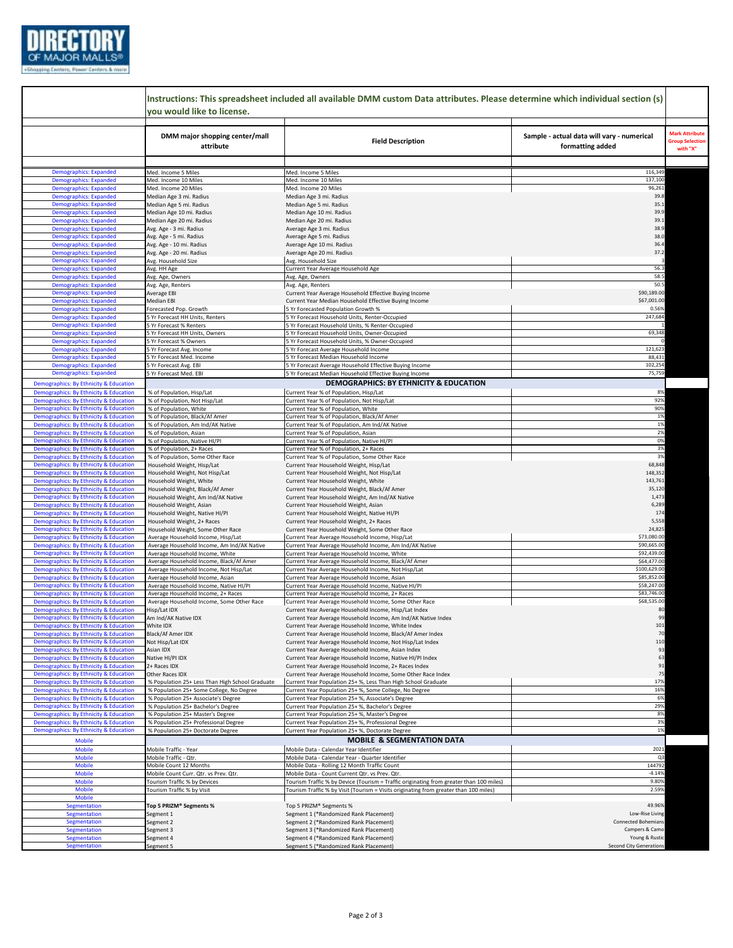

|                                                                                  | Instructions: This spreadsheet included all available DMM custom Data attributes. Please determine which individual section (s)<br>vou would like to license. |                                                                                                     |                                                                |
|----------------------------------------------------------------------------------|---------------------------------------------------------------------------------------------------------------------------------------------------------------|-----------------------------------------------------------------------------------------------------|----------------------------------------------------------------|
|                                                                                  | DMM major shopping center/mall<br>attribute                                                                                                                   | <b>Field Description</b>                                                                            | Sample - actual data will vary - numerical<br>formatting added |
|                                                                                  |                                                                                                                                                               |                                                                                                     |                                                                |
| <b>Demographics: Expanded</b>                                                    | Med. Income 5 Miles                                                                                                                                           | Med. Income 5 Miles                                                                                 | 116,349                                                        |
| <b>Demographics: Expanded</b>                                                    | Med. Income 10 Miles                                                                                                                                          | Med. Income 10 Miles                                                                                | 137,100<br>96,261                                              |
| <b>Demographics: Expanded</b><br><b>Demographics: Expanded</b>                   | Med. Income 20 Miles                                                                                                                                          | Med. Income 20 Miles                                                                                | 39.8                                                           |
| <b>Demographics: Expanded</b>                                                    | Median Age 3 mi. Radius                                                                                                                                       | Median Age 3 mi. Radius                                                                             | 35.1                                                           |
| <b>Demographics: Expanded</b>                                                    | Median Age 5 mi. Radius<br>Median Age 10 mi. Radius                                                                                                           | Median Age 5 mi. Radius<br>Median Age 10 mi. Radius                                                 | 39.9                                                           |
| <b>Demographics: Expanded</b>                                                    | Median Age 20 mi. Radius                                                                                                                                      | Median Age 20 mi. Radius                                                                            | 39.1                                                           |
| <b>Demographics: Expanded</b>                                                    | Avg. Age - 3 mi. Radius                                                                                                                                       | Average Age 3 mi. Radius                                                                            | 38.9                                                           |
| <b>Demographics: Expanded</b>                                                    | Avg. Age - 5 mi. Radius                                                                                                                                       | Average Age 5 mi. Radius                                                                            | 38.0                                                           |
| <b>Demographics: Expanded</b>                                                    | Avg. Age - 10 mi. Radius                                                                                                                                      | Average Age 10 mi. Radius                                                                           | 36.4                                                           |
| <b>Demographics: Expanded</b>                                                    | Avg. Age - 20 mi. Radius                                                                                                                                      | Average Age 20 mi. Radius                                                                           | 37.2                                                           |
| <b>Demographics: Expanded</b>                                                    | Avg. Household Size                                                                                                                                           | Avg. Household Size                                                                                 |                                                                |
| <b>Demographics: Expanded</b>                                                    | Avg. HH Age                                                                                                                                                   | Current Year Average Household Age                                                                  | 56.3                                                           |
| <b>Demographics: Expanded</b>                                                    | Avg. Age, Owners                                                                                                                                              | Avg. Age, Owners                                                                                    | 58.5                                                           |
| <b>Demographics: Expanded</b>                                                    | Avg. Age, Renters                                                                                                                                             | Avg. Age, Renters                                                                                   | 50.5                                                           |
| <b>Demographics: Expanded</b>                                                    | Average EBI                                                                                                                                                   | Current Year Average Household Effective Buying Income                                              | \$90,189.00                                                    |
| <b>Demographics: Expanded</b>                                                    | Median EBI                                                                                                                                                    | Current Year Median Household Effective Buying Income                                               | \$67,001.00                                                    |
| <b>Demographics: Expanded</b>                                                    | Forecasted Pop. Growth                                                                                                                                        | 5 Yr Forecasted Population Growth %                                                                 | 0.56%                                                          |
| <b>Demographics: Expanded</b>                                                    | 5 Yr Forecast HH Units, Renters                                                                                                                               | 5 Yr Forecast Household Units, Renter-Occupied                                                      | 247,684                                                        |
| <b>Demographics: Expanded</b>                                                    | 5 Yr Forecast % Renters                                                                                                                                       | 5 Yr Forecast Household Units, % Renter-Occupied                                                    |                                                                |
| <b>Demographics: Expanded</b>                                                    | 5 Yr Forecast HH Units, Owners                                                                                                                                | 5 Yr Forecast Household Units, Owner-Occupied                                                       | 69,348                                                         |
| <b>Demographics: Expanded</b>                                                    | 5 Yr Forecast % Owners                                                                                                                                        | 5 Yr Forecast Household Units, % Owner-Occupied                                                     |                                                                |
| <b>Demographics: Expanded</b>                                                    | 5 Yr Forecast Avg. Income                                                                                                                                     | 5 Yr Forecast Average Household Income                                                              | 121,623                                                        |
| <b>Demographics: Expanded</b>                                                    | 5 Yr Forecast Med. Income                                                                                                                                     | 5 Yr Forecast Median Household Income                                                               | 88,431                                                         |
| <b>Demographics: Expanded</b>                                                    | 5 Yr Forecast Avg. EBI                                                                                                                                        | 5 Yr Forecast Average Household Effective Buying Income                                             | 102,254                                                        |
| <b>Demographics: Expanded</b>                                                    | 5 Yr Forecast Med. EBI                                                                                                                                        | 5 Yr Forecast Median Household Effective Buying Income                                              | 75,75                                                          |
| <b>Demographics: By Ethnicity &amp; Education</b>                                |                                                                                                                                                               | DEMOGRAPHICS: BY ETHNICITY & EDUCATION                                                              |                                                                |
| Demographics: By Ethnicity & Education                                           | % of Population, Hisp/Lat                                                                                                                                     | Current Year % of Population, Hisp/Lat                                                              | 8%                                                             |
| Demographics: By Ethnicity & Education                                           | % of Population, Not Hisp/Lat                                                                                                                                 | Current Year % of Population, Not Hisp/Lat                                                          | 92%                                                            |
| Demographics: By Ethnicity & Education                                           | % of Population, White                                                                                                                                        | Current Year % of Population, White                                                                 | 90%                                                            |
| Demographics: By Ethnicity & Education                                           | % of Population, Black/Af Amer                                                                                                                                | Current Year % of Population, Black/Af Amer                                                         | 1%                                                             |
| Demographics: By Ethnicity & Education                                           | % of Population, Am Ind/AK Native                                                                                                                             | Current Year % of Population, Am Ind/AK Native                                                      | 1%                                                             |
| Demographics: By Ethnicity & Education                                           | % of Population, Asian                                                                                                                                        | Current Year % of Population, Asian                                                                 | 2%                                                             |
| Demographics: By Ethnicity & Education                                           | % of Population, Native HI/PI                                                                                                                                 | Current Year % of Population, Native HI/PI                                                          | 0%                                                             |
| Demographics: By Ethnicity & Education                                           | % of Population, 2+ Races                                                                                                                                     | Current Year % of Population, 2+ Races                                                              | 3%                                                             |
| Demographics: By Ethnicity & Education                                           | % of Population, Some Other Race                                                                                                                              | Current Year % of Population, Some Other Race                                                       | 3%                                                             |
| Demographics: By Ethnicity & Education                                           | Household Weight, Hisp/Lat                                                                                                                                    | Current Year Household Weight, Hisp/Lat                                                             | 68,848                                                         |
| Demographics: By Ethnicity & Education                                           | Household Weight, Not Hisp/Lat                                                                                                                                | Current Year Household Weight, Not Hisp/Lat                                                         | 148,352                                                        |
| Demographics: By Ethnicity & Education                                           | Household Weight, White                                                                                                                                       | Current Year Household Weight, White                                                                | 143,761                                                        |
| Demographics: By Ethnicity & Education                                           | Household Weight, Black/Af Amer                                                                                                                               | Current Year Household Weight, Black/Af Amer                                                        | 35,120                                                         |
| Demographics: By Ethnicity & Education                                           | Household Weight, Am Ind/AK Native                                                                                                                            | Current Year Household Weight, Am Ind/AK Native                                                     | 1,473<br>6,289                                                 |
| Demographics: By Ethnicity & Education<br>Demographics: By Ethnicity & Education | Household Weight, Asian                                                                                                                                       | Current Year Household Weight, Asian<br>Current Year Household Weight, Native HI/PI                 | 174                                                            |
| Demographics: By Ethnicity & Education                                           | Household Weight, Native HI/PI<br>Household Weight, 2+ Races                                                                                                  | Current Year Household Weight, 2+ Races                                                             | 5,558                                                          |
| Demographics: By Ethnicity & Education                                           | Household Weight, Some Other Race                                                                                                                             | Current Year Household Weight, Some Other Race                                                      | 24,825                                                         |
| <b>Demographics: By Ethnicity &amp; Education</b>                                | Average Household Income, Hisp/Lat                                                                                                                            | Current Year Average Household Income, Hisp/Lat                                                     | \$73,080.00                                                    |
| Demographics: By Ethnicity & Education                                           | Average Household Income, Am Ind/AK Native                                                                                                                    | Current Year Average Household Income, Am Ind/AK Native                                             | \$90,665.00                                                    |
| Demographics: By Ethnicity & Education                                           | Average Household Income, White                                                                                                                               | Current Year Average Household Income, White                                                        | \$92,439.00                                                    |
| Demographics: By Ethnicity & Education                                           | Average Household Income, Black/Af Amer                                                                                                                       | Current Year Average Household Income, Black/Af Amer                                                | \$64,477.00                                                    |
| <b>Demographics: By Ethnicity &amp; Education</b>                                | Average Household Income, Not Hisp/Lat                                                                                                                        | Current Year Average Household Income, Not Hisp/Lat                                                 | \$100,629.00                                                   |
| <b>Demographics: By Ethnicity &amp; Education</b>                                | Average Household Income, Asian                                                                                                                               | Current Year Average Household Income, Asian                                                        | \$85,852.00                                                    |
| Demographics: By Ethnicity & Education                                           | Average Household Income, Native HI/PI                                                                                                                        | Current Year Average Household Income, Native HI/PI                                                 | \$58,247.00                                                    |
| Demographics: By Ethnicity & Education                                           | Average Household Income, 2+ Races                                                                                                                            | Current Year Average Household Income, 2+ Races                                                     | \$83,746.00                                                    |
| Demographics: By Ethnicity & Education                                           | Average Household Income, Some Other Race                                                                                                                     | Current Year Average Household Income, Some Other Race                                              | \$68,535.00                                                    |
| <b>Demographics: By Ethnicity &amp; Education</b>                                | Hisp/Lat IDX                                                                                                                                                  | Current Year Average Household Income, Hisp/Lat Index                                               |                                                                |
| Demographics: By Ethnicity & Education                                           | Am Ind/AK Native IDX                                                                                                                                          | Current Year Average Household Income, Am Ind/AK Native Index                                       | 99                                                             |
| Demographics: By Ethnicity & Education                                           | White IDX                                                                                                                                                     | Current Year Average Household Income, White Index                                                  | 101                                                            |
| Demographics: By Ethnicity & Education                                           | Black/Af Amer IDX                                                                                                                                             | Current Year Average Household Income, Black/Af Amer Index                                          | 70                                                             |
| Demographics: By Ethnicity & Education                                           | Not Hisp/Lat IDX                                                                                                                                              | Current Year Average Household Income, Not Hisp/Lat Index                                           | 110                                                            |
| Demographics: By Ethnicity & Education                                           | Asian IDX                                                                                                                                                     | Current Year Average Household Income, Asian Index                                                  | 93                                                             |
| Demographics: By Ethnicity & Education                                           | Native HI/PI IDX                                                                                                                                              | Current Year Average Household Income, Native HI/PI Index                                           | 63                                                             |
| Demographics: By Ethnicity & Education                                           | 2+ Races IDX                                                                                                                                                  | Current Year Average Household Income, 2+ Races Index                                               | 91                                                             |
| Demographics: By Ethnicity & Education                                           | Other Races IDX                                                                                                                                               | Current Year Average Household Income, Some Other Race Index                                        | 75                                                             |
| Demographics: By Ethnicity & Education                                           | % Population 25+ Less Than High School Graduate                                                                                                               | Current Year Population 25+ %, Less Than High School Graduate                                       | 17%                                                            |
| Demographics: By Ethnicity & Education                                           | % Population 25+ Some College, No Degree                                                                                                                      | Current Year Population 25+%, Some College, No Degree                                               | 16%<br>6%                                                      |
| Demographics: By Ethnicity & Education                                           | % Population 25+ Associate's Degree                                                                                                                           | Current Year Population 25+%, Associate's Degree                                                    |                                                                |
| Demographics: By Ethnicity & Education                                           | % Population 25+ Bachelor's Degree                                                                                                                            | Current Year Population 25+%, Bachelor's Degree                                                     | 29%<br>8%                                                      |
| Demographics: By Ethnicity & Education<br>Demographics: By Ethnicity & Education | % Population 25+ Master's Degree                                                                                                                              | Current Year Population 25+%, Master's Degree                                                       | 3%                                                             |
| Demographics: By Ethnicity & Education                                           | % Population 25+ Professional Degree                                                                                                                          | Current Year Population 25+%, Professional Degree<br>Current Year Population 25+%, Doctorate Degree | 1%                                                             |
|                                                                                  | % Population 25+ Doctorate Degree                                                                                                                             |                                                                                                     |                                                                |
| <b>Mobile</b>                                                                    |                                                                                                                                                               | <b>MOBILE &amp; SEGMENTATION DATA</b>                                                               |                                                                |
| <b>Mobile</b>                                                                    | Mobile Traffic - Year                                                                                                                                         | Mobile Data - Calendar Year Identifier                                                              | 2021                                                           |
| <b>Mobile</b>                                                                    | Mobile Traffic - Qtr.                                                                                                                                         | Mobile Data - Calendar Year - Quarter Identifier                                                    | Q3                                                             |
| <b>Mobile</b>                                                                    | Mobile Count 12 Months                                                                                                                                        | Mobile Data - Rolling 12 Month Traffic Count                                                        | 144792                                                         |
| <b>Mobile</b>                                                                    | Mobile Count Curr. Qtr. vs Prev. Qtr.                                                                                                                         | Mobile Data - Count Current Qtr. vs Prev. Qtr.                                                      | $-4.14%$                                                       |
| <b>Mobile</b>                                                                    | Tourism Traffic % by Devices                                                                                                                                  | Tourism Traffic % by Device (Tourism = Traffic originating from greater than 100 miles)             | 9.80%                                                          |
| <b>Mobile</b>                                                                    | Tourism Traffic % by Visit                                                                                                                                    | Tourism Traffic % by Visit (Tourism = Visits originating from greater than 100 miles)               | 2.59%                                                          |
| <b>Mobile</b>                                                                    |                                                                                                                                                               |                                                                                                     |                                                                |
| Segmentation                                                                     | Top 5 PRIZM® Segments %                                                                                                                                       | Top 5 PRIZM® Segments %                                                                             | 49.96%                                                         |
| Segmentation                                                                     | Segment 1                                                                                                                                                     | Segment 1 (*Randomized Rank Placement)                                                              | Low-Rise Living                                                |
| <b>Segmentation</b>                                                              | Segment 2                                                                                                                                                     | Segment 2 (*Randomized Rank Placement)                                                              | Connected Bohemians                                            |
| Segmentation                                                                     | Segment 3                                                                                                                                                     | Segment 3 (*Randomized Rank Placement)                                                              | Campers & Camo                                                 |
| Segmentation                                                                     | Segment 4                                                                                                                                                     | Segment 4 (*Randomized Rank Placement)                                                              | Young & Rustic                                                 |
| Segmentation                                                                     | Segment 5                                                                                                                                                     | Segment 5 (*Randomized Rank Placement)                                                              | <b>Second City Generations</b>                                 |